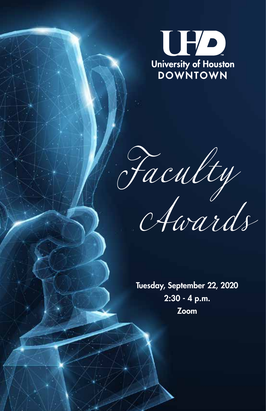

*Faculty*

 *Awards*

Tuesday, September 22, 2020 2:30 - 4 p.m. Zoom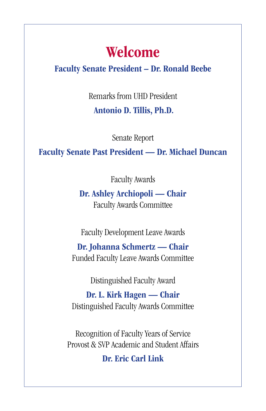# Welcome

## Faculty Senate President – Dr. Ronald Beebe

Remarks from UHD President Antonio D. Tillis, Ph.D.

Senate Report

Faculty Senate Past President — Dr. Michael Duncan

Faculty Awards

Dr. Ashley Archiopoli — Chair Faculty Awards Committee

Faculty Development Leave Awards

Dr. Johanna Schmertz — Chair Funded Faculty Leave Awards Committee

Distinguished Faculty Award

Dr. L. Kirk Hagen — Chair Distinguished Faculty Awards Committee

Recognition of Faculty Years of Service Provost & SVP Academic and Student Affairs

Dr. Eric Carl Link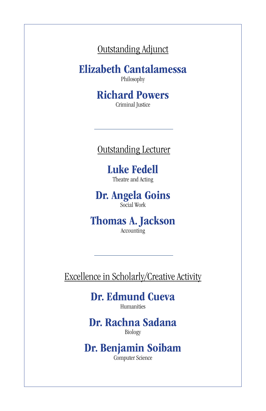Outstanding Adjunct

Elizabeth Cantalamessa

Philosophy

Richard Powers Criminal Justice

# Outstanding Lecturer

Luke Fedell Theatre and Acting

Dr. Angela Goins Social Work

Thomas A. Jackson Accounting

Excellence in Scholarly/Creative Activity

Dr. Edmund Cueva Humanities

Dr. Rachna Sadana Biology

Dr. Benjamin Soibam Computer Science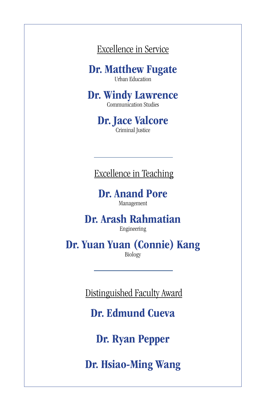Excellence in Service

Dr. Matthew Fugate Urban Education

Dr. Windy Lawrence Communication Studies

> Dr. Jace Valcore Criminal Justice

Excellence in Teaching

Dr. Anand Pore Management

Dr. Arash Rahmatian

Engineering

Dr. Yuan Yuan (Connie) Kang Biology

Distinguished Faculty Award

Dr. Edmund Cueva

Dr. Ryan Pepper

Dr. Hsiao-Ming Wang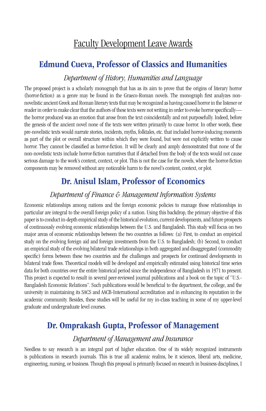# Faculty Development Leave Awards

# Edmund Cueva, Professor of Classics and Humanities

### *Department of History, Humanities and Language*

The proposed project is a scholarly monograph that has as its aim to prove that the origins of literary horror (horror-fiction) as a genre may be found in the Graeco-Roman novels. The monograph first analyzes nonnovelistic ancient Greek and Roman literary texts that may be recognized as having caused horror in the listener or reader in order to make clear that the authors of these texts were not writing in order to evoke horror specifically the horror produced was an emotion that arose from the text coincidentally and not purposefully. Indeed, before the genesis of the ancient novel none of the texts were written primarily to cause horror. In other words, these pre-novelistic texts would narrate stories, incidents, myths, folktales, etc. that included horror-inducing moments as part of the plot or overall structure within which they were found, but were not explicitly written to cause horror. They cannot be classified as horror-fiction. It will be clearly and amply demonstrated that none of the non-novelistic texts include horror-fiction narratives that if detached from the body of the texts would not cause serious damage to the work's content, context, or plot. This is not the case for the novels, where the horror-fiction components may be removed without any noticeable harm to the novel's content, context, or plot.

# Dr. Anisul Islam, Professor of Economics

#### *Department of Finance & Management Information Systems*

Economic relationships among nations and the foreign economic policies to manage those relationships in particular are integral to the overall foreign policy of a nation. Using this backdrop, the primary objective of this paper is to conduct in-depth empirical study of the historical evolution, current developments, and future prospects of continuously evolving economic relationships between the U.S. and Bangladesh. This study will focus on two major areas of economic relationships between the two countries as follows: (a) First, to conduct an empirical study on the evolving foreign aid and foreign investments from the U.S. to Bangladesh; (b) Second, to conduct an empirical study of the evolving bilateral trade relationships in both aggregated and disaggregated (commodity specific) forms between these two countries and the challenges and prospects for continued developments in bilateral trade flows. Theoretical models will be developed and empirically estimated using historical time series data for both countries over the entire historical period since the independence of Bangladesh in 1971 to present. This project is expected to result in several peer-reviewed journal publications and a book on the topic of "U.S.- Bangladesh Economic Relations". Such publications would be beneficial to the department, the college, and the university in maintaining its SACS and AACB-International accreditation and in enhancing its reputation in the academic community. Besides, these studies will be useful for my in-class teaching in some of my upper-level graduate and undergraduate level courses.

### Dr. Omprakash Gupta, Professor of Management

#### *Department of Management and Insurance*

Needless to say research is an integral part of higher education. One of its widely recognized instruments is publications in research journals. This is true all academic realms, be it sciences, liberal arts, medicine, engineering, nursing, or business. Though this proposal is primarily focused on research in business disciplines, I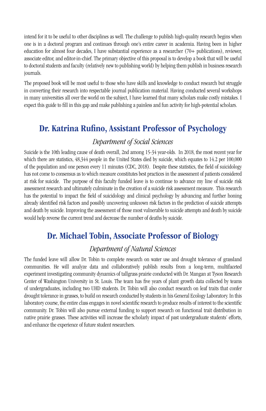intend for it to be useful to other disciplines as well. The challenge to publish high-quality research begins when one is in a doctoral program and continues through one's entire career in academia. Having been in higher education for almost four decades, I have substantial experience as a researcher (70+ publications), reviewer, associate editor, and editor-in-chief. The primary objective of this proposal is to develop a book that will be useful to doctoral students and faculty (relatively new to publishing world) by helping them publish in business research journals.

The proposed book will be most useful to those who have skills and knowledge to conduct research but struggle in converting their research into respectable journal publication material. Having conducted several workshops in many universities all over the world on the subject, I have learned that many scholars make costly mistakes. I expect this guide to fill in this gap and make publishing a painless and fun activity for high-potential scholars.

# Dr. Katrina Rufino, Assistant Professor of Psychology

#### *Department of Social Sciences*

Suicide is the 10th leading cause of death overall, 2nd among 15-34 year-olds. In 2018, the most recent year for which there are statistics,  $48,344$  people in the United States died by suicide, which equates to 14.2 per 100,000 of the population and one person every 11 minutes (CDC, 2018). Despite these statistics, the field of suicidology has not come to consensus as to which measure constitutes best practices in the assessment of patients considered at risk for suicide. The purpose of this faculty funded leave is to continue to advance my line of suicide risk assessment research and ultimately culminate in the creation of a suicide risk assessment measure. This research has the potential to impact the field of suicidology and clinical psychology by advancing and further honing already identified risk factors and possibly uncovering unknown risk factors in the prediction of suicide attempts and death by suicide. Improving the assessment of those most vulnerable to suicide attempts and death by suicide would help reverse the current trend and decrease the number of deaths by suicide.

### Dr. Michael Tobin, Associate Professor of Biology

### *Department of Natural Sciences*

The funded leave will allow Dr. Tobin to complete research on water use and drought tolerance of grassland communities. He will analyze data and collaboratively publish results from a long-term, multifaceted experiment investigating community dynamics of tallgrass prairie conducted with Dr. Mangan at Tyson Research Center of Washington University in St. Louis. The team has five years of plant growth data collected by teams of undergraduates, including two UHD students. Dr. Tobin will also conduct research on leaf traits that confer drought tolerance in grasses, to build on research conducted by students in his General Ecology Laboratory. In this laboratory course, the entire class engages in novel scientific research to produce results of interest to the scientific community. Dr. Tobin will also pursue external funding to support research on functional trait distribution in native prairie grasses. These activities will increase the scholarly impact of past undergraduate students' efforts, and enhance the experience of future student researchers.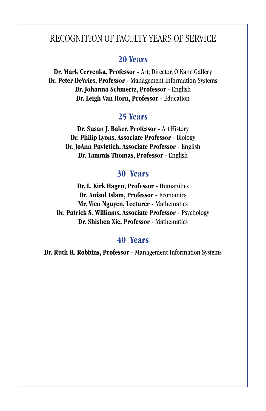## RECOGNITION OF FACULTY YEARS OF SERVICE

### 20 Years

Dr. Mark Cervenka, Professor - Art; Director, O'Kane Gallery Dr. Peter DeVries, Professor - Management Information Systems Dr. Johanna Schmertz, Professor - English Dr. Leigh Van Horn, Professor - Education

#### 25 Years

Dr. Susan J. Baker, Professor - Art History Dr. Philip Lyons, Associate Professor - Biology Dr. JoAnn Pavletich, Associate Professor - English Dr. Tammis Thomas, Professor - English

### 30 Years

Dr. L. Kirk Hagen, Professor - Humanities Dr. Anisul Islam, Professor - Economics Mr. Vien Nguyen, Lecturer - Mathematics Dr. Patrick S. Williams, Associate Professor - Psychology Dr. Shishen Xie, Professor - Mathematics

### 40 Years

Dr. Ruth R. Robbins, Professor - Management Information Systems